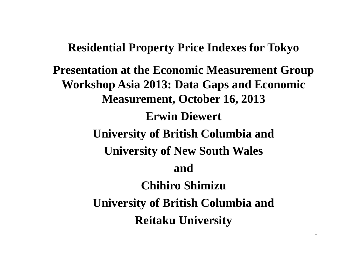# **Residential Property Price Indexes for Tokyo**

**Presentation at the Economic Measurement Group Workshop Asia 2013: Data Gaps and Economic Measurement, October 16, 2013 Erwin Diewert University of British Columbia and University of New South Wales and Chihiro ShimizuUniversity of British Columbia and Reitaku University**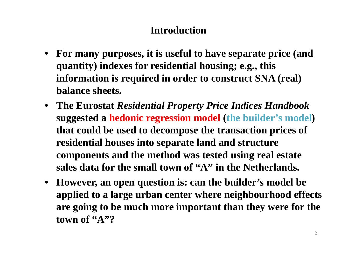# **Introduction**

- **For many purposes, it is useful to have separate price (and quantity) indexes for residential housing; e.g., this information is required in order to construct SNA (real) balance sheets.**
- **The Eurostat** *Residential Property Price Indices Handbook* **suggested a hedonic regression model (the builder's model) that could be used to decompose the transaction prices of residential houses into separate land and structure components and the method was tested using real estate sales data for the small town of "A" in the Netherlands.**
- **However, an open question is: can the builder's model be applied to a large urban center where neighbourhood effects are going to be much more important than they were for the town of "A"?**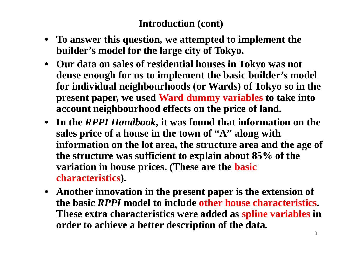### **Introduction (cont)**

- **To answer this question, we attempted to implement the builder's model for the large city of Tokyo.**
- **Our data on sales of residential houses in Tokyo was not dense enough for us to implement the basic builder's model for individual neighbourhoods (or Wards) of Tokyo so in the present paper, we used Ward dummy variables to take into account neighbourhood effects on the price of land.**
- **In the** *RPPI Handbook***, it was found that information on the sales price of a house in the town of "A" along with information on the lot area, the structure area and the age of the structure was sufficient to explain about 85% of the variation in house prices. (These are the basic characteristics).**
- **Another innovation in the present paper is the extension of the basic** *RPPI* **model to include other house characteristics. These extra characteristics were added as spline variables in order to achieve a better description of the data.**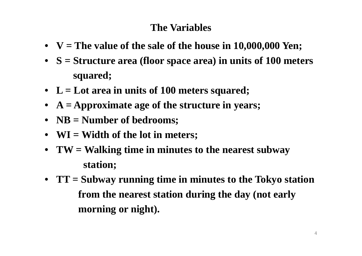# **The Variables**

- $V = The$  value of the sale of the house in 10,000,000 Yen;
- **S <sup>=</sup> Structure area (floor space area) in units of 100 meters squared;**
- **L <sup>=</sup> Lot area in units of 100 meters squared;**
- **A <sup>=</sup> Approximate age of the structure in years;**
- **NB <sup>=</sup> Number of bedrooms;**
- **WI <sup>=</sup> Width of the lot in meters;**
- **TW <sup>=</sup> Walking time in minutes to the nearest subway station;**
- **TT <sup>=</sup> Subway running time in minutes to the Tokyo station from the nearest station during the day (not early morning or night).**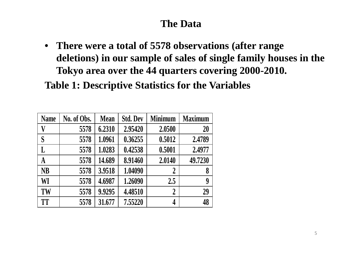# **The Data**

• **There were a total of 5578 observations (after range deletions) in our sample of sales of single family houses in the Tokyo area over the 44 quarters covering 2000-2010.**

**Table 1: Descriptive Statistics for the Variables**

| <b>Name</b> | No. of Obs. | <b>Mean</b> | <b>Std. Dev</b> | <b>Minimum</b> | <b>Maximum</b> |
|-------------|-------------|-------------|-----------------|----------------|----------------|
| V           | 5578        | 6.2310      | 2.95420         | 2.0500         | 20             |
| S           | 5578        | 1.0961      | 0.36255         | 0.5012         | 2.4789         |
| L           | 5578        | 1.0283      | 0.42538         | 0.5001         | 2.4977         |
| $\bf A$     | 5578        | 14.689      | 8.91460         | 2.0140         | 49.7230        |
| <b>NB</b>   | 5578        | 3.9518      | 1.04090         | $\overline{2}$ | 8              |
| WI          | 5578        | 4.6987      | 1.26090         | 2.5            | 9              |
| TW          | 5578        | 9.9295      | 4.48510         | $\overline{2}$ | 29             |
| <b>TT</b>   | 5578        | 31.677      | 7.55220         | 4              | 48             |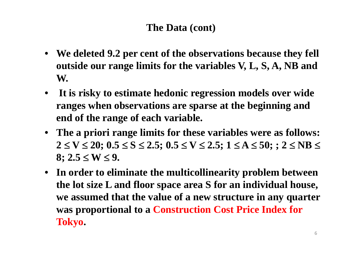# **The Data (cont)**

- **We deleted 9.2 per cent of the observations because they fell outside our range limits for the variables V, L, S, A, NB and W.**
- **It is risky to estimate hedonic regression models over wide ranges when observations are sparse at the beginning and end of the range of each variable.**
- **The a priori range limits for these variables were as follows:**   $2 \leq V \leq 20; \: 0.5 \leq S \leq 2.5; \: 0.5 \leq V \leq 2.5; \: 1 \leq A \leq 50; \: ; \: 2 \leq NB \leq 1$  $8$ ;  $2.5 \le W \le 9$ .
- **In order to eliminate the multicollinearity problem between the lot size L and floor space area S for an individual house, we assumed that the value of a new structure in any quarter was proportional to a Construction Cost Price Index for Tokyo.**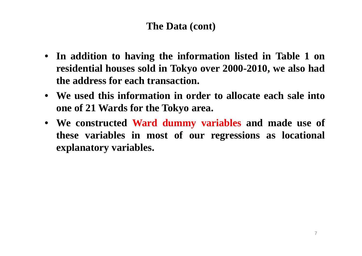### **The Data (cont)**

- **In addition to having the information listed in Table 1 on residential houses sold in Tokyo over 2000-2010, we also had the address for each transaction.**
- **We used this information in order to allocate each sale into one of 21 Wards for the Tokyo area.**
- **We constructed Ward dummy variables and made use of these variables in most of our regressions as locational explanatory variables.**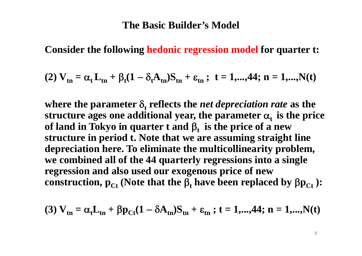### **The Basic Builder's Model**

**Consider the following hedonic regression model for quarter t:**

(2) 
$$
V_{tn} = \alpha_t L_{tn} + \beta_t (1 - \delta_t A_{tn}) S_{tn} + \varepsilon_{tn}
$$
; t = 1,...,44; n = 1,...,N(t)

where the parameter  $\delta_t$  reflects the *net depreciation rate* as the structure ages one additional year, the parameter  $\alpha_{\rm t}$  is the price of land in Tokyo in quarter  $t$  and  $\beta_t$  is the price of a new **structure in period t. Note that we are assuming straight line depreciation here. To eliminate the multicollinearity problem, we combined all of the 44 quarterly regressions into a single regression and also used our exogenous price of new**   $\textbf{const}$ ruction,  $\textbf{p}_{\text{C} \textbf{t}}$  (Note that the  $\boldsymbol{\beta}_{\textbf{t}}$  have been replaced by  $\beta \textbf{p}_{\text{C} \textbf{t}}$  ):

(3) 
$$
V_{tn} = \alpha_t L_{tn} + \beta p_{Ct} (1 - \delta A_{tn}) S_{tn} + \epsilon_{tn}
$$
; t = 1,...,44; n = 1,...,N(t)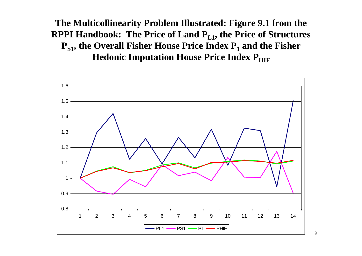**The Multicollinearity Problem Illustrated: Figure 9.1 from the RPPI Handbook: The Price of Land P<sub>L1</sub>, the Price of Structures P<sub>S1</sub>, the Overall Fisher House Price Index P<sub>1</sub> and the Fisher Hedonic Imputation House Price Index PHIF** 

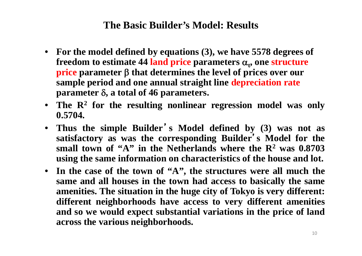### **The Basic Builder's Model: Results**

- **For the model defined by equations (3), we have 5578 degrees of**  freedom to estimate 44 land price parameters  $\boldsymbol{\alpha}_t$ , one structure **price parameter that determines the level of prices over our sample period and one annual straight line depreciation rate parameter , a total of 46 parameters.**
- **The R 2 for the resulting nonlinear regression model was only 0.5704.**
- **Thus the simple Builder**'**<sup>s</sup> Model defined by (3) was not as satisfactory as was the corresponding Builder**'**<sup>s</sup> Model for the small town of "A" in the Netherlands where the R 2 was 0.8703 using the same information on characteristics of the house and lot.**
- In the case of the town of "A", the structures were all much the same and all houses in the town had access to basically the same amenities. The situation in the huge city of Tokyo is very different: **different neighborhoods have access to very different amenities** and so we would expect substantial variations in the price of land **across the various neighborhoods.**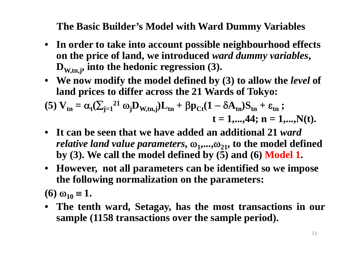**The Basic Builder's Model with Ward Dummy Variables**

- **In order to take into account possible neighbourhood effects on the price of land, we introduced** *ward dummy variables***, D<sub>W,tn,j</sub>, into the hedonic regression (3).**
- **We now modify the model defined by (3) to allow the** *level* **of land prices to differ across the 21 Wards of Tokyo:**

(5) 
$$
V_{tn} = \alpha_t (\sum_{j=1}^{21} \omega_j D_{W,tn,j}) L_{tn} + \beta p_{Ct} (1 - \delta A_{tn}) S_{tn} + \epsilon_{tn} ;
$$
  
\n $t = 1,...,44; n = 1,...,N(t).$ 

- **It can be seen that we have added an additional 21** *ward relative land value parameters,*  $\omega_1, \dots, \omega_{21}$ , to the model defined **by (3). We call the model defined by (5) and (6) Model 1.**
- **However, not all parameters can be identified so we impose the following normalization on the parameters:**

**(6)**  $\omega_{10} \equiv 1$ .

• **The tenth ward, Setagay, has the most transactions in our sample (1158 transactions over the sample period).**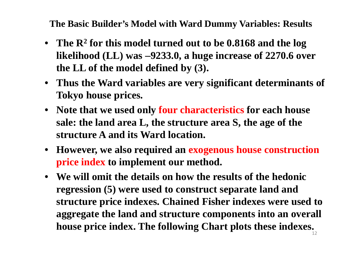**The Basic Builder's Model with Ward Dummy Variables: Results**

- **The R 2 for this model turned out to be 0.8168 and the log likelihood (LL) was 9233.0, a huge increase of 2270.6 over the LL of the model defined by (3).**
- **Thus the Ward variables are very significant determinants of Tokyo house prices.**
- **Note that we used only four characteristics for each house sale: the land area L, the structure area S, the age of the structure A and its Ward location.**
- **However, we also required an exogenous house construction price index to implement our method.**
- **We will omit the details on how the results of the hedonic regression (5) were used to construct separate land and structure price indexes. Chained Fisher indexes were used to aggregate the land and structure components into an overall house price index. The following Chart plots these indexes.**12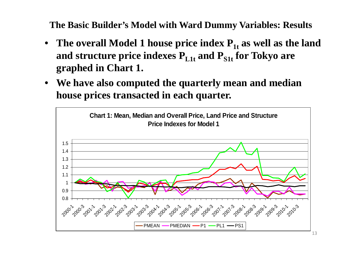**The Basic Builder's Model with Ward Dummy Variables: Results**

- The overall Model 1 house price index  $P_{1t}$  as well as the land **and structure price indexes PL1t and PS1t for Tokyo are graphed in Chart 1.**
- • **We have also computed the quarterly mean and median house prices transacted in each quarter.**

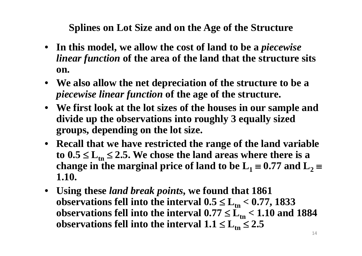**Splines on Lot Size and on the Age of the Structure**

- **In this model, we allow the cost of land to be a** *piecewise linear function* **of the area of the land that the structure sits on.**
- **We also allow the net depreciation of the structure to be a**  *piecewise linear function* **of the age of the structure.**
- **We first look at the lot sizes of the houses in our sample and divide up the observations into roughly 3 equally sized groups, depending on the lot size.**
- **Recall that we have restricted the range of the land variable**   $\text{to } 0.5 \leq L_{\text{tn}} \leq 2.5$ . We chose the land areas where there is a change in the marginal price of land to be  $\mathbf{L}_1$   $\equiv$   $0.77$  and  $\mathbf{L}_2$   $\equiv$ **1.10.**
- **Using these** *land break points***, we found that 1861**  observations fell into the interval  $0.5 \le L_{\rm tn} < 0.77,$  1833 observations fell into the interval  $0.77 \le L_{\rm tn} < 1.10$  and  $1884$ observations fell into the interval  $1.1 \le L_{\rm tn} \le 2.5$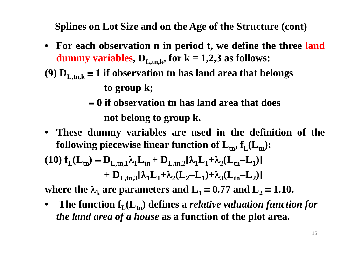**Splines on Lot Size and on the Age of the Structure (cont)**

- **For each observation <sup>n</sup> in period t, we define the three land dummy variables,**  $D_{L,m,k}$ , for  $k = 1,2,3$  as follows:
- (9)  $\mathbf{D}_{\mathbf{L},\mathbf{tn},\mathbf{k}}$   $\equiv$   $\mathbf{1}$  if observation tn has land area that belongs

**to group k;**

- **0 if observation tn has land area that does not belong to group k.**
- **These dummy variables are used in the definition of the following** piecewise linear function of  $L_{tn}$ ,  $f_L(L_{tn})$ :  $(\mathbf{10}) \mathbf{f}_{\mathbf{L}}(\mathbf{L}_{\mathbf{t}\mathbf{n}}) \equiv \mathbf{D}_{\mathbf{L},\mathbf{t}\mathbf{n},\mathbf{1}} \lambda_1 \mathbf{L}_{\mathbf{t}\mathbf{n}} + \mathbf{D}_{\mathbf{L},\mathbf{t}\mathbf{n},\mathbf{2}} [\lambda_1 \mathbf{L}_1 + \lambda_2 (\mathbf{L}_{\mathbf{t}\mathbf{n}})]$  $-L_1$

$$
+ \ D_{L,tn,3}[\lambda_1 L_1 + \lambda_2 (L_2 - L_1) + \lambda_3 (L_{tn} - L_2)]
$$

where the  $\lambda_{\bf k}$  are parameters and  ${\bf L_1}$   $\equiv$  0.77 and  ${\bf L_2}$   $\equiv$  1.10.

 $\bullet$ The function  $f_L(L_{tn})$  defines a *relative valuation function for the land area of a house* **as a function of the plot area.**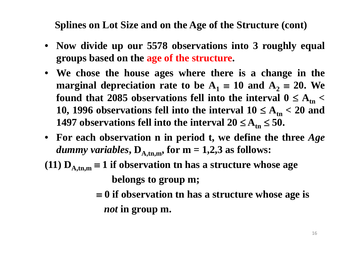**Splines on Lot Size and on the Age of the Structure (cont)**

- **Now divide up our 5578 observations into 3 roughly equal groups based on the age of the structure.**
- **We chose the house ages where there is <sup>a</sup> change in the marginal depreciation rate to be**  $\mathbf{A}_1 \equiv \mathbf{10}$  **and**  $\mathbf{A}_2 \equiv \mathbf{20}$ **. We** found that 2085 observations fell into the interval  $0 \leq A_{\rm tn} <$ **10, 1996 observations fell into the interval**  $10 \leq A_{\rm tn} < 20$  **and 1497** <code>observations fell into the interval 20  $\leq$  A<sub>tn</sub>  $\leq$  50.</code>
- **For each observation <sup>n</sup> in period t, we define the three** *Age dummy variables*,  $D_{A,tn,m}$ , for  $m = 1,2,3$  as follows:
- (11)  $\mathbf{D}_{\mathrm{A},\mathrm{tn,m}}$   $\equiv$  1 if observation tn has a structure whose age **belongs to group m;**
	- **0 if observation tn has <sup>a</sup> structure whose age is** *not* **in group m.**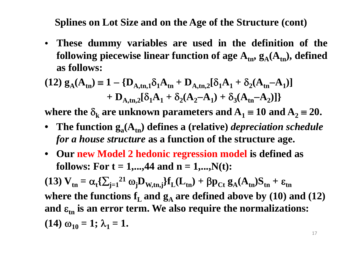**Splines on Lot Size and on the Age of the Structure (cont)**

• **These dummy variables are used in the definition of the** <code>following</code> piecewise linear function of age  $\mathbf{A_{tn}}, \, \mathbf{g_A}(\mathbf{A_{tn}}),$  <code>defined</code> **as follows:**

$$
(12) g_A(A_{tn}) = 1 - \{D_{A,tn,1}\delta_1 A_{tn} + D_{A,tn,2}[\delta_1 A_1 + \delta_2 (A_{tn} - A_1)] + D_{A,tn,2}[\delta_1 A_1 + \delta_2 (A_2 - A_1) + \delta_3 (A_{tn} - A_2)]\}
$$

where the  $\delta_{\mathbf{k}}$  are unknown parameters and  $\mathbf{A}_1 \equiv 10$  and  $\mathbf{A}_2 \equiv 20$ .

- The function  $g_a(A_{tn})$  defines a (relative) *depreciation schedule for a house structure* **as a function of the structure age.**
- **Our new Model 2 hedonic regression model is defined as follows:** For  $t = 1,...,44$  and  $n = 1,...,N(t)$ :

 $(13)$   $V_{\text{tn}}$  $= \alpha_t \left\{ \sum_{j=1}^{21} \omega_j \mathbf{D}_{W,tn,j} \right\} \mathbf{f}_{L}(\mathbf{L}_{tn}) + \beta \mathbf{p}_{Ct} \mathbf{g}_{A}(\mathbf{A}_{tn}) \mathbf{S}_{tn} + \varepsilon_{tn}$ where the functions  $\mathbf{f}_\mathrm{L}$  and  $\mathbf{g}_\mathrm{A}$  are defined above by (10) and (12) and  $\boldsymbol{\varepsilon}_{\text{tn}}$  is an error term. We also require the normalizations: **(14)**  $\omega_{10} = 1$ ;  $\lambda_1 = 1$ .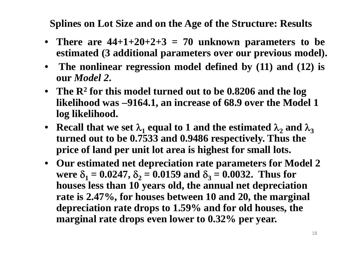**Splines on Lot Size and on the Age of the Structure: Results**

- **There are 44+1+20+2+3 <sup>=</sup> 70 unknown parameters to be estimated (3 additional parameters over our previous model).**
- **The nonlinear regression model defined by (11) and (12) is our** *Model 2***.**
- **The R 2 for this model turned out to be 0.8206 and the log likelihood was 9164.1, an increase of 68.9 over the Model 1 log likelihood.**
- Recall that we set  $\lambda_1$  equal to 1 and the estimated  $\lambda_2$  and  $\lambda_3$ **turned out to be 0.7533 and 0.9486 respectively. Thus the price of land per unit lot area is highest for small lots.**
- **Our estimated net depreciation rate parameters for Model 2** were  $\delta_1 = 0.0247$ ,  $\delta_2 = 0.0159$  and  $\delta_3 = 0.0032$ . Thus for **houses less than 10 years old, the annual net depreciation rate is 2.47%, for houses between 10 and 20, the marginal depreciation rate drops to 1.59% and for old houses, the marginal rate drops even lower to 0.32% per year.**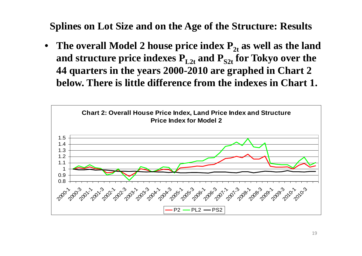**Splines on Lot Size and on the Age of the Structure: Results**

 $\bullet$ • The overall Model 2 house price index  $P_{2t}$  as well as the land and structure price indexes  $\mathbf{P}_{\text{L2t}}$  and  $\mathbf{P}_{\text{S2t}}$  for Tokyo over the **44 quarters in the years 2000-2010 are graphed in Chart 2 below. There is little difference from the indexes in Chart 1.**

![](_page_18_Figure_2.jpeg)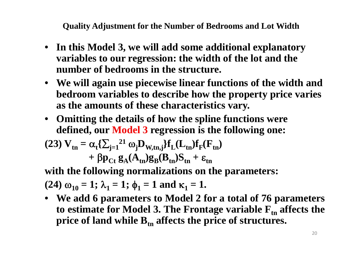**Quality Adjustment for the Number of Bedrooms and Lot Width**

- **In this Model 3, we will add some additional explanatory variables to our regression: the width of the lot and the number of bedrooms in the structure.**
- **We will again use piecewise linear functions of the width and bedroom variables to describe how the property price varies as the amounts of these characteristics vary.**
- **Omitting the details of how the spline functions were defined, our Model 3 regression is the following one:**

$$
(23) V_{tn} = \alpha_t \{ \sum_{j=1}^{21} \omega_j D_{W,tn,j} \} f_L(L_{tn}) f_F(F_{tn}) + \beta p_{Ct} g_A(A_{tn}) g_B(B_{tn}) S_{tn} + \epsilon_{tn}
$$

**with the following normalizations on the parameters:**

 $(24) \omega_{10} = 1; \lambda_1 = 1; \phi_1 = 1$  and  $\kappa_1 = 1$ .

• We add 6 parameters to Model 2 for a total of 76 parameters **to estimate for Model 3. The Frontage variable Ftn affects the price of land while Btn affects the price of structures.**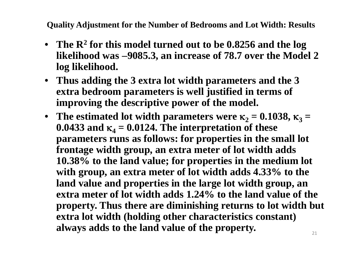**Quality Adjustment for the Number of Bedrooms and Lot Width: Results**

- **The R 2 for this model turned out to be 0.8256 and the log likelihood was 9085.3, an increase of 78.7 over the Model 2 log likelihood.**
- **Thus adding the 3 extra lot width parameters and the 3 extra bedroom parameters is well justified in terms of improving the descriptive power of the model.**
- The estimated lot width parameters were  $\kappa_2 = 0.1038$ ,  $\kappa_3 =$  $0.0433$  and  $\kappa_4 = 0.0124$ . The interpretation of these **parameters runs as follows: for properties in the small lot frontage width group, an extra meter of lot width adds 10.38% to the land value; for properties in the medium lot with group, an extra meter of lot width adds 4.33% to the land value and properties in the large lot width group, an extra meter of lot width adds 1.24% to the land value of the property. Thus there are diminishing returns to lot width but extra lot width (holding other characteristics constant) always adds to the land value of the property.**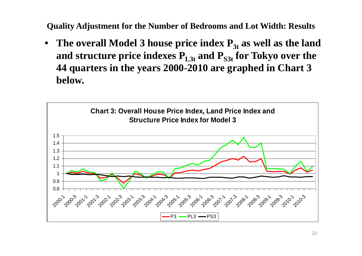**Quality Adjustment for the Number of Bedrooms and Lot Width: Results**

•• The overall Model 3 house price index  $P_{3t}$  as well as the land and structure price indexes  $\mathbf{P}_{\text{L3t}}$  and  $\mathbf{P}_{\text{S3t}}$  for Tokyo over the **44 quarters in the years 2000-2010 are graphed in Chart 3 below.**

![](_page_21_Figure_2.jpeg)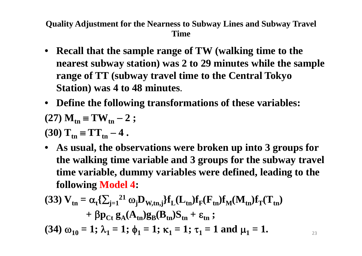**Quality Adjustment for the Nearness to Subway Lines and Subway Travel Time**

- **Recall that the sample range of TW (walking time to the nearest subway station) was 2 to 29 minutes while the sample range of TT (subway travel time to the Central Tokyo Station) was 4 to 48 minutes**.
- **Define the following transformations of these variables:**

$$
(27) M_{\rm tn} \equiv TW_{\rm tn} - 2 ;
$$

 $(30)$   $T_{tn}$   $\equiv$   $TT_{tn}$ **4 .**

• **As usual, the observations were broken up into 3 groups for the walking time variable and 3 groups for the subway travel time variable, dummy variables were defined, leading to the following Model 4:**

(33) 
$$
V_{tn} = \alpha_t \{\sum_{j=1}^{21} \omega_j D_{W,tn,j}\} f_L(L_{tn}) f_F(F_{tn}) f_M(M_{tn}) f_T(T_{tn})
$$
  
+  $\beta p_{Ct} g_A(A_{tn}) g_B(B_{tn}) S_{tn} + \varepsilon_{tn} ;$   
(34)  $\omega_{10} = 1; \lambda_1 = 1; \phi_1 = 1; \kappa_1 = 1; \tau_1 = 1$  and  $\mu_1 = 1$ .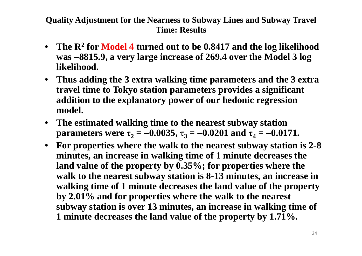### **Quality Adjustment for the Nearness to Subway Lines and Subway Travel Time: Results**

- $\bullet$  **The R 2 for Model 4 turned out to be 0.8417 and the log likelihood was 8815.9, a very large increase of 269.4 over the Model 3 log likelihood.**
- **Thus adding the 3 extra walking time parameters and the 3 extra travel time to Tokyo station parameters provides a significant addition to the explanatory power of our hedonic regression model.**
- $\bullet$  **The estimated walking time to the nearest subway station**  ${\bf p}$ arameters were  ${\bf \tau}_2 = -0.0035,$   ${\bf \tau}_3 = -0.0201$  and  ${\bf \tau}_4 = -0.0171.$
- **For properties where the walk to the nearest subway station is 2-8 minutes, an increase in walking time of 1 minute decreases the land value of the property by 0.35%; for properties where the walk to the nearest subway station is 8-13 minutes, an increase in walking time of 1 minute decreases the land value of the property by 2.01% and for properties where the walk to the nearest subway station is over 13 minutes, an increase in walking time of 1 minute decreases the land value of the property by 1.71%.**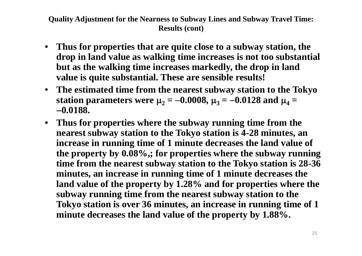#### **Quality Adjustment for the Nearness to Subway Lines and Subway Travel Time: Results (cont)**

- $\bullet$  **Thus for properties that are quite close to a subway station, the drop in land value as walking time increases is not too substantial but as the walking time increases markedly, the drop in land value is quite substantial. These are sensible results!**
- **The estimated time from the nearest subway station to the Tokyo** station parameters were  $\mu_2 = -0.0008$ ,  $\mu_3 = -0.0128$  and  $\mu_4 =$ **0.0188.**
- $\bullet$  **Thus for properties where the subway running time from the nearest subway station to the Tokyo station is 4-28 minutes, an increase in running time of 1 minute decreases the land value of the property by 0.08%,; for properties where the subway running time from the nearest subway station to the Tokyo station is 28-36 minutes, an increase in running time of 1 minute decreases the land value of the property by 1.28% and for properties where the subway running time from the nearest subway station to the Tokyo station is over 36 minutes, an increase in running time of 1 minute decreases the land value of the property by 1.88%.**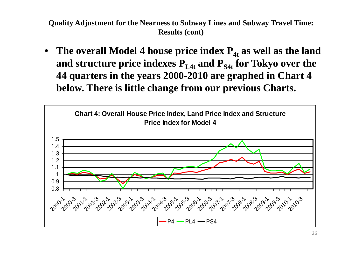**Quality Adjustment for the Nearness to Subway Lines and Subway Travel Time: Results (cont)**

• The overall Model 4 house price index  $P_{4t}$  as well as the land and structure price indexes  $\mathbf{P}_{\text{L4t}}$  and  $\mathbf{P}_{\text{S4t}}$  for Tokyo over the **44 quarters in the years 2000-2010 are graphed in Chart 4 below. There is little change from our previous Charts.**

![](_page_25_Figure_2.jpeg)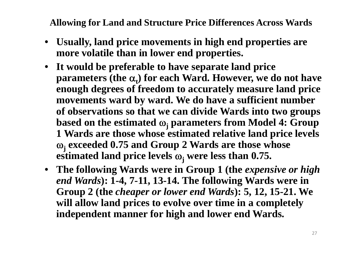**Allowing for Land and Structure Price Differences Across Wards**

- • **Usually, land price movements in high end properties are more volatile than in lower end properties.**
- **It would be preferable to have separate land price**  parameters (the  $\alpha_t$ ) for each Ward. However, we do not have **enough degrees of freedom to accurately measure land price movements ward by ward. We do have a sufficient number of observations so that we can divide Wards into two groups based on the estimated <sup>j</sup> parameters from Model 4: Group 1 Wards are those whose estimated relative land price levels <sup>j</sup> exceeded 0.75 and Group 2 Wards are those whose estimated land price levels <sup>j</sup> were less than 0.75.**
- **The following Wards were in Group 1 (the** *expensive or high end Wards***): 1-4, 7-11, 13-14. The following Wards were in Group 2 (the** *cheaper or lower end Wards***): 5, 12, 15-21. We will allow land prices to evolve over time in a completely independent manner for high and lower end Wards.**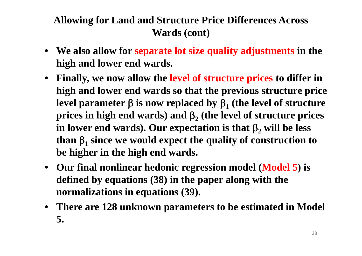# **Allowing for Land and Structure Price Differences Across Wards (cont)**

- **We also allow for separate lot size quality adjustments in the high and lower end wards.**
- **Finally, we now allow the level of structure prices to differ in high and lower end wards so that the previous structure price**  level parameter  $\beta$  is now replaced by  $\beta_1$  (the level of structure prices in high end wards) and  $\beta_2$  (the level of structure prices in lower end wards). Our expectation is that  $\beta_2$  will be less than  $\beta_1$  since we would expect the quality of construction to **be higher in the high end wards.**
- **Our final nonlinear hedonic regression model (Model 5) is defined by equations (38) in the paper along with the normalizations in equations (39).**
- **There are 128 unknown parameters to be estimated in Model 5.**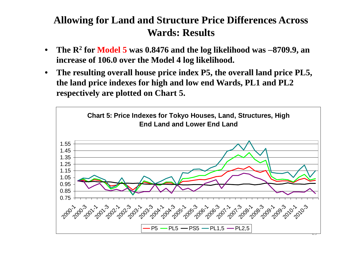## **Allowing for Land and Structure Price Differences Across Wards: Results**

- $\bullet$  **The R 2 for Model 5 was 0.8476 and the log likelihood was 8709.9, an increase of 106.0 over the Model 4 log likelihood.**
- • **The resulting overall house price index P5, the overall land price PL5, the land price indexes for high and low end Wards, PL1 and PL2 respectively are plotted on Chart 5.**

![](_page_28_Figure_3.jpeg)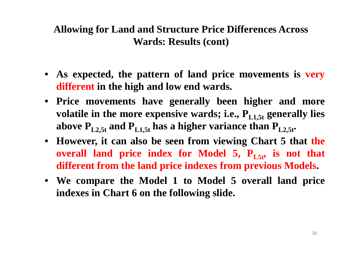### **Allowing for Land and Structure Price Differences Across Wards: Results (cont)**

- **As expected, the pattern of land price movements is very different in the high and low end wards.**
- **Price movements have generally been higher and more volatile** in the more expensive wards; i.e.,  $P_{L1.5t}$  generally lies above  $P_{L2.5t}$  and  $P_{L1.5t}$  has a higher variance than  $P_{L2.5t}$ .
- **However, it can also be seen from viewing Chart 5 that the overall land price index for Model 5, PL5t, is not that different from the land price indexes from previous Models.**
- **We compare the Model 1 to Model 5 overall land price indexes in Chart 6 on the following slide.**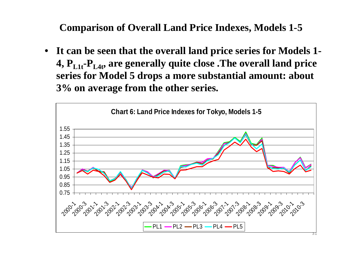**Comparison of Overall Land Price Indexes, Models 1-5** 

• **It can be seen that the overall land price series for Models 1- 4, PL1t-PL4t, are generally quite close .The overall land price series for Model 5 drops a more substantial amount: about 3% on average from the other series.**

![](_page_30_Figure_2.jpeg)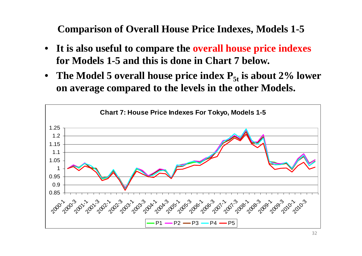**Comparison of Overall House Price Indexes, Models 1-5** 

- **It is also useful to compare the overall house price indexes for Models 1-5 and this is done in Chart 7 below.**
- The Model 5 overall house price index  $P_{5t}$  is about 2% lower **on average compared to the levels in the other Models.**

![](_page_31_Figure_3.jpeg)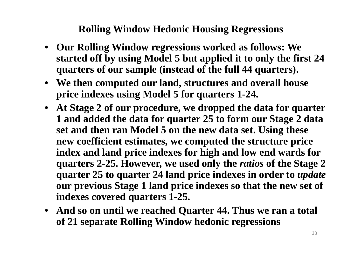### **Rolling Window Hedonic Housing Regressions**

- **Our Rolling Window regressions worked as follows: We started off by using Model 5 but applied it to only the first 24 quarters of our sample (instead of the full 44 quarters).**
- **We then computed our land, structures and overall house price indexes using Model 5 for quarters 1-24.**
- **At Stage 2 of our procedure, we dropped the data for quarter 1 and added the data for quarter 25 to form our Stage 2 data set and then ran Model 5 on the new data set. Using these new coefficient estimates, we computed the structure price index and land price indexes for high and low end wards for quarters 2-25. However, we used only the** *ratios* **of the Stage 2 quarter 25 to quarter 24 land price indexes in order to** *update* **our previous Stage 1 land price indexes so that the new set of indexes covered quarters 1-25.**
- **And so on until we reached Quarter 44. Thus we ran a total of 21 separate Rolling Window hedonic regressions**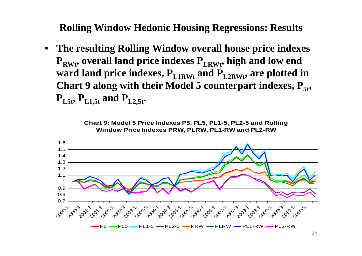**Rolling Window Hedonic Housing Regressions: Results**

• **The resulting Rolling Window overall house price indexes P<sub>RWt</sub>, overall land price indexes P<sub>LRWt</sub>, high and low end** ward land price indexes,  $\mathbf{P}_{\text{L1RWt}}$  and  $\mathbf{P}_{\text{L2RWt}}$ , are plotted in **Chart 9** along with their Model 5 counterpart indexes,  $P_{5t}$ ,  $P_{L5t}$ ,  $P_{L1.5t}$  and  $P_{L2.5t}$ .

![](_page_33_Figure_2.jpeg)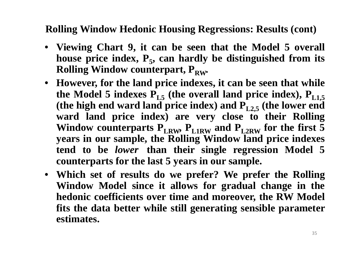### **Rolling Window Hedonic Housing Regressions: Results (cont)**

- **Viewing Chart 9, it can be seen that the Model 5 overall house price index, P 5, can hardly be distinguished from its Rolling Window counterpart,**  $P_{RW}$ **.**
- However, for the land price indexes, it can be seen that while **the Model 5 indexes**  $\mathbf{P}_{\text{L5}}$  **(the overall land price index),**  $\mathbf{P}_{\text{L1,5}}$ **(the high end ward land price index) and PL2,5 (the lower end ward land price index) are very close to their Rolling** Window counterparts  $\mathbf{P}_{\text{LRW}}$ ,  $\mathbf{P}_{\text{L1RW}}$  and  $\mathbf{P}_{\text{L2RW}}$  for the first  $\mathbf{5}$ **years in our sample, the Rolling Window land price indexes tend to be** *lower* **than their single regression Model 5 counterparts for the last 5 years in our sample.**
- **Which set of results do we prefer? We prefer the Rolling Window Model since it allows for gradual change in the hedonic coefficients over time and moreover, the RW Model fits the data better while still generating sensible parameter estimates.**